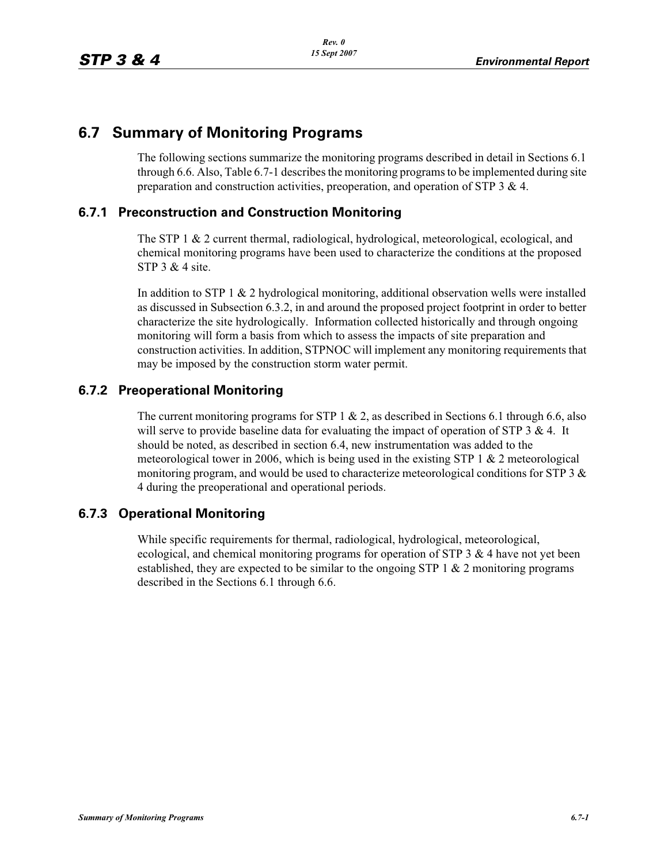## **6.7 Summary of Monitoring Programs**

The following sections summarize the monitoring programs described in detail in Sections 6.1 through 6.6. Also, Table 6.7-1 describes the monitoring programs to be implemented during site preparation and construction activities, preoperation, and operation of STP 3 & 4.

## **6.7.1 Preconstruction and Construction Monitoring**

The STP 1 & 2 current thermal, radiological, hydrological, meteorological, ecological, and chemical monitoring programs have been used to characterize the conditions at the proposed STP 3 & 4 site.

In addition to STP 1 & 2 hydrological monitoring, additional observation wells were installed as discussed in Subsection 6.3.2, in and around the proposed project footprint in order to better characterize the site hydrologically. Information collected historically and through ongoing monitoring will form a basis from which to assess the impacts of site preparation and construction activities. In addition, STPNOC will implement any monitoring requirements that may be imposed by the construction storm water permit.

## **6.7.2 Preoperational Monitoring**

The current monitoring programs for STP 1  $\&$  2, as described in Sections 6.1 through 6.6, also will serve to provide baseline data for evaluating the impact of operation of STP  $3 \& 4$ . It should be noted, as described in section 6.4, new instrumentation was added to the meteorological tower in 2006, which is being used in the existing STP 1  $\&$  2 meteorological monitoring program, and would be used to characterize meteorological conditions for STP 3  $\&$ 4 during the preoperational and operational periods.

## **6.7.3 Operational Monitoring**

While specific requirements for thermal, radiological, hydrological, meteorological, ecological, and chemical monitoring programs for operation of STP  $3 \& 4$  have not yet been established, they are expected to be similar to the ongoing STP 1  $\&$  2 monitoring programs described in the Sections 6.1 through 6.6.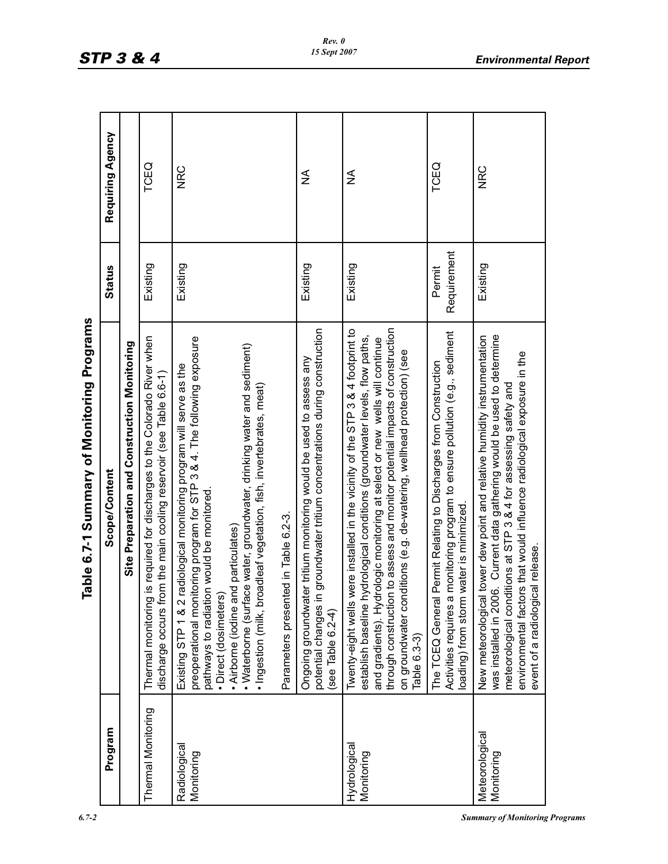| .<br>× |  |
|--------|--|
|--------|--|

|                              | Table 6.7-1 Summary of Monitoring Programs                                                                                                                                                                                                                                                                                                                                                                                                            |                       |                  |  |
|------------------------------|-------------------------------------------------------------------------------------------------------------------------------------------------------------------------------------------------------------------------------------------------------------------------------------------------------------------------------------------------------------------------------------------------------------------------------------------------------|-----------------------|------------------|--|
| Program                      | Scope/Content                                                                                                                                                                                                                                                                                                                                                                                                                                         | <b>Status</b>         | Requiring Agency |  |
|                              | Site Preparation and Construction Monitoring                                                                                                                                                                                                                                                                                                                                                                                                          |                       |                  |  |
| Thermal Monitoring           | Thermal monitoring is required for discharges to the Colorado River when<br>discharge occurs from the main cooling reservoir (see Table 6.6-1)                                                                                                                                                                                                                                                                                                        | Existing              | TCEQ             |  |
| Radiological<br>Monitoring   | preoperational monitoring program for STP 3 & 4. The following exposure<br>• Waterborne (surface water, groundwater, drinking water and sediment)<br>Existing STP 1 & 2 radiological monitoring program will serve as the<br>· Ingestion (milk, broadleaf vegetation, fish, invertebrates, meat)<br>pathways to radiation would be monitored<br>Parameters presented in Table 6.2-3.<br>• Airborne (iodine and particulates)<br>· Direct (dosimeters) | Existing              | <b>NRC</b>       |  |
|                              | in groundwater tritium concentrations during construction<br>Ongoing groundwater tritium monitoring would be used to assess any<br>potential changes<br>(see Table 6.2-4)                                                                                                                                                                                                                                                                             | Existing              | ≨                |  |
| Hydrological<br>Monitoring   | through construction to assess and monitor potential impacts of construction<br>were installed in the vicinity of the STP 3 & 4 footprint to<br>hydrological conditions (groundwater levels, flow paths,<br>and gradients). Hydrologic monitoring at select or new wells will continue<br>on groundwater conditions (e.g. de-watering, wellhead protection) (see<br>Twenty-eight wells<br>establish baseline<br>Table 6.3-3)                          | Existing              | ≸                |  |
|                              | Activities requires a monitoring program to ensure pollution (e.g., sediment<br>The TCEQ General Permit Relating to Discharges from Construction<br>loading) from storm water is minimized.                                                                                                                                                                                                                                                           | Requirement<br>Permit | TCEQ             |  |
| Meteorological<br>Monitoring | was installed in 2006. Current data gathering would be used to determine<br>New meteorological tower dew point and relative humidity instrumentation<br>environmental factors that would influence radiological exposure in the<br>meteorological conditions at STP 3 & 4 for assessing safety and<br>ical release.<br>event of a radiologi                                                                                                           | Existing              | <b>NRC</b>       |  |

*Rev. 0 15 Sept 2007*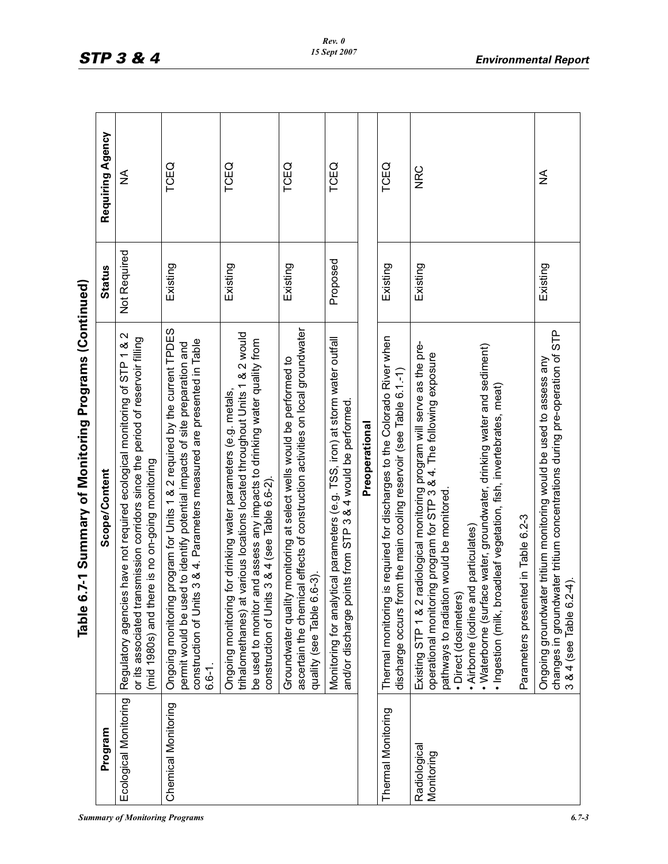| <b>Summary of Monitoring Programs</b> | 6.7-3 |
|---------------------------------------|-------|
|                                       |       |

| Scope/Content                                                                                                                                                                                                                     | <b>Status</b> | Requit |
|-----------------------------------------------------------------------------------------------------------------------------------------------------------------------------------------------------------------------------------|---------------|--------|
| ng   Regulatory agencies have not required ecological monitoring of STP 1 & 2   Not Required<br>or its associated transmission corridors since the period of reservoir filling<br>(mid 1980s) and there is no on-going monitoring |               |        |
|                                                                                                                                                                                                                                   |               |        |

| ì                                                                    |  |
|----------------------------------------------------------------------|--|
| ויה המה הי<br>נ<br>Í                                                 |  |
| J<br>֧֦֧֝ <u>֚</u><br>֧<br>$\frac{1}{3}$<br>$\overline{\phantom{a}}$ |  |
| in und his<br>1                                                      |  |
| $le 6.7-1$ Su                                                        |  |

|                            | 6.7-1 Summary of Monitoring Programs (Continued)<br>Table                                                                                                                                                                                                                                                                                                                                                                                                     |               |                  |
|----------------------------|---------------------------------------------------------------------------------------------------------------------------------------------------------------------------------------------------------------------------------------------------------------------------------------------------------------------------------------------------------------------------------------------------------------------------------------------------------------|---------------|------------------|
| Program                    | Scope/Content                                                                                                                                                                                                                                                                                                                                                                                                                                                 | <b>Status</b> | Requiring Agency |
| Ecological Monitoring      | Regulatory agencies have not required ecological monitoring of STP 1 & 2<br>or its associated transmission corridors since the period of reservoir filling<br>here is no on-going monitoring<br>$(mid 1980s)$ and t                                                                                                                                                                                                                                           | Not Required  | ≨                |
| Chemical Monitoring        | Ongoing monitoring program for Units 1 & 2 required by the current TPDES<br>construction of Units 3 & 4. Parameters measured are presented in Table<br>permit would be used to identify potential impacts of site preparation and<br>$6.6 - 1$ .                                                                                                                                                                                                              | Existing      | TCEQ             |
|                            | at various locations located throughout Units 1 & 2 would<br>be used to monitor and assess any impacts to drinking water quality from<br>Ongoing monitoring for drinking water parameters (e.g. metals,<br>construction of Units 3 & 4 (see Table 6.6-2).<br>trihalomethanes)                                                                                                                                                                                 | Existing      | TCEQ             |
|                            | ascertain the chemical effects of construction activities on local groundwater<br>Groundwater quality monitoring at select wells would be performed to<br>$6.6-3)$<br>quality (see Table                                                                                                                                                                                                                                                                      | Existing      | TCEQ             |
|                            | Monitoring for analytical parameters (e.g. TSS, iron) at storm water outfall<br>points from STP 3 & 4 would be performed<br>and/or discharge                                                                                                                                                                                                                                                                                                                  | Proposed      | TCEQ             |
|                            | Preoperational                                                                                                                                                                                                                                                                                                                                                                                                                                                |               |                  |
| Thermal Monitoring         | Thermal monitoring is required for discharges to the Colorado River when<br>from the main cooling reservoir (see Table 6.1-1)<br>discharge occurs                                                                                                                                                                                                                                                                                                             | Existing      | TCEQ             |
| Radiological<br>Monitoring | 2 radiological monitoring program will serve as the pre-<br>• Waterborne (surface water, groundwater, drinking water and sediment)<br>operational monitoring program for STP 3 & 4. The following exposure<br>broadleaf vegetation, fish, invertebrates, meat)<br>pathways to radiation would be monitored.<br>Parameters presented in Table 6.2-3<br>• Airborne (iodine and particulates)<br>· Direct (dosimeters)<br>Existing STP 1 &<br>· Ingestion (milk, | Existing      | <b>NRC</b>       |
|                            | changes in groundwater tritium concentrations during pre-operation of STP<br>Ongoing groundwater tritium monitoring would be used to assess any<br>$6.2 - 4$ ).<br>$3 & 4$ (see Table $\theta$                                                                                                                                                                                                                                                                | Existing      | ≨                |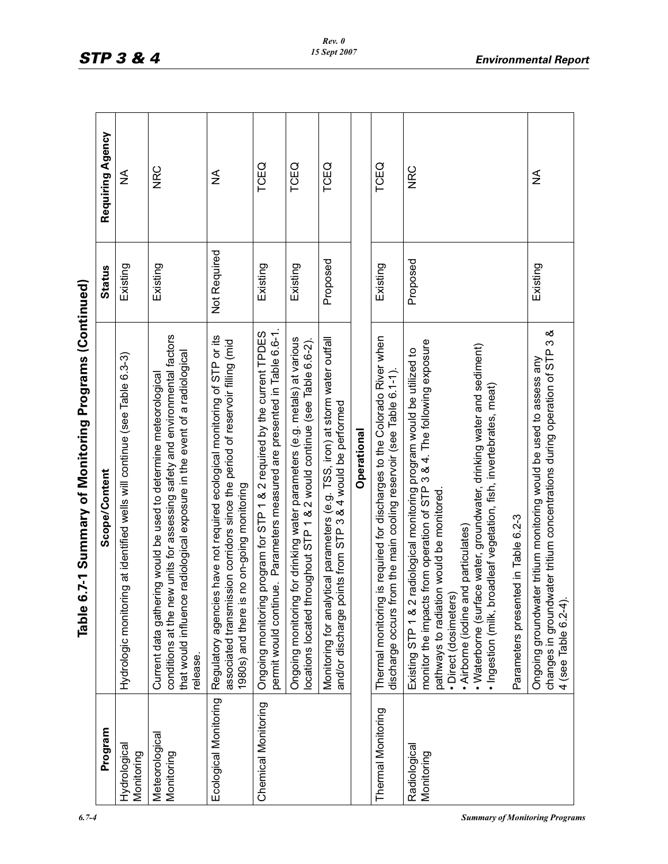| Program                      | 7-1 Summary of Monitoring Programs (Continued)<br>Scope/Content<br>Table 6.                                                                                                                                                                                                                                                                                                                                                                              | <b>Status</b> | Requiring Agency |
|------------------------------|----------------------------------------------------------------------------------------------------------------------------------------------------------------------------------------------------------------------------------------------------------------------------------------------------------------------------------------------------------------------------------------------------------------------------------------------------------|---------------|------------------|
| Hydrological<br>Monitoring   | Hydrologic monitoring at identified wells will continue (see Table 6.3-3)                                                                                                                                                                                                                                                                                                                                                                                | Existing      | ≨                |
| Meteorological<br>Monitoring | conditions at the new units for assessing safety and environmental factors<br>radiological exposure in the event of a radiological<br>Current data gathering would be used to determine meteorological<br>that would influence<br>release.                                                                                                                                                                                                               | Existing      | <b>NRC</b>       |
| Ecological Monitoring        | have not required ecological monitoring of STP or its<br>associated transmission corridors since the period of reservoir filling (mid<br>1980s) and there is no on-going monitoring<br>Regulatory agencies                                                                                                                                                                                                                                               | Not Required  | ≨                |
| Chemical Monitoring          | e. Parameters measured are presented in Table 6.6-1.<br>program for STP 1 & 2 required by the current TPDES<br>permit would continu<br>Ongoing monitoring                                                                                                                                                                                                                                                                                                | Existing      | TCEQ             |
|                              | for drinking water parameters (e.g. metals) at various<br>locations located throughout STP 1 & 2 would continue (see Table 6.6-2).<br>Ongoing monitoring                                                                                                                                                                                                                                                                                                 | Existing      | TCEQ             |
|                              | ical parameters (e.g. TSS, iron) at storm water outfall<br>nts from STP 3 & 4 would be performed<br>Monitoring for analyt<br>and/or discharge poi                                                                                                                                                                                                                                                                                                        | Proposed      | TCEQ             |
|                              | Operational                                                                                                                                                                                                                                                                                                                                                                                                                                              |               |                  |
| <b>Thermal Monitoring</b>    | s required for discharges to the Colorado River when<br>discharge occurs from the main cooling reservoir (see Table 6.1-1).<br>Thermal monitoring i                                                                                                                                                                                                                                                                                                      | Existing      | TCEQ             |
| Radiological<br>Monitoring   | monitor the impacts from operation of STP 3 & 4. The following exposure<br>· Waterborne (surface water, groundwater, drinking water and sediment)<br>Existing STP 1 & 2 radiological monitoring program would be utilized to<br>· Ingestion (milk, broadleaf vegetation, fish, invertebrates, meat)<br>pathways to radiation would be monitored.<br>Parameters presented in Table 6.2-3<br>• Airborne (iodine and particulates)<br>· Direct (dosimeters) | Proposed      | <b>NRC</b>       |
|                              | changes in groundwater tritium concentrations during operation of STP 3 &<br>Ongoing groundwater tritium monitoring would be used to assess any<br>4 (see Table 6.2-4).                                                                                                                                                                                                                                                                                  | Existing      | ≨                |

*6.7-4 Summary of Monitoring Programs*